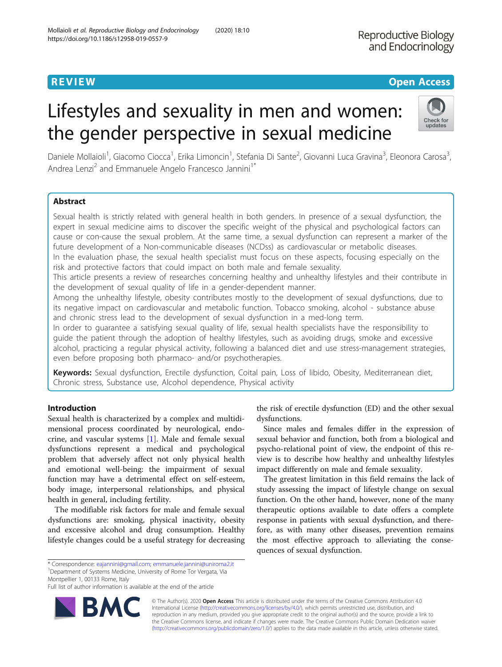# Lifestyles and sexuality in men and women: the gender perspective in sexual medicine

Daniele Mollaioli<sup>1</sup>, Giacomo Ciocca<sup>1</sup>, Erika Limoncin<sup>1</sup>, Stefania Di Sante<sup>2</sup>, Giovanni Luca Gravina<sup>3</sup>, Eleonora Carosa<sup>3</sup> , Andrea Lenzi<sup>2</sup> and Emmanuele Angelo Francesco Jannini<sup>1\*</sup>

### Abstract

Sexual health is strictly related with general health in both genders. In presence of a sexual dysfunction, the expert in sexual medicine aims to discover the specific weight of the physical and psychological factors can cause or con-cause the sexual problem. At the same time, a sexual dysfunction can represent a marker of the future development of a Non-communicable diseases (NCDss) as cardiovascular or metabolic diseases. In the evaluation phase, the sexual health specialist must focus on these aspects, focusing especially on the risk and protective factors that could impact on both male and female sexuality.

This article presents a review of researches concerning healthy and unhealthy lifestyles and their contribute in the development of sexual quality of life in a gender-dependent manner.

Among the unhealthy lifestyle, obesity contributes mostly to the development of sexual dysfunctions, due to its negative impact on cardiovascular and metabolic function. Tobacco smoking, alcohol - substance abuse and chronic stress lead to the development of sexual dysfunction in a med-long term.

In order to guarantee a satisfying sexual quality of life, sexual health specialists have the responsibility to guide the patient through the adoption of healthy lifestyles, such as avoiding drugs, smoke and excessive alcohol, practicing a regular physical activity, following a balanced diet and use stress-management strategies, even before proposing both pharmaco- and/or psychotherapies.

Keywords: Sexual dysfunction, Erectile dysfunction, Coital pain, Loss of libido, Obesity, Mediterranean diet, Chronic stress, Substance use, Alcohol dependence, Physical activity

### Introduction

Sexual health is characterized by a complex and multidimensional process coordinated by neurological, endocrine, and vascular systems [\[1](#page-7-0)]. Male and female sexual dysfunctions represent a medical and psychological problem that adversely affect not only physical health and emotional well-being: the impairment of sexual function may have a detrimental effect on self-esteem, body image, interpersonal relationships, and physical health in general, including fertility.

The modifiable risk factors for male and female sexual dysfunctions are: smoking, physical inactivity, obesity and excessive alcohol and drug consumption. Healthy lifestyle changes could be a useful strategy for decreasing

the risk of erectile dysfunction (ED) and the other sexual dysfunctions.

Since males and females differ in the expression of sexual behavior and function, both from a biological and psycho-relational point of view, the endpoint of this review is to describe how healthy and unhealthy lifestyles impact differently on male and female sexuality.

The greatest limitation in this field remains the lack of study assessing the impact of lifestyle change on sexual function. On the other hand, however, none of the many therapeutic options available to date offers a complete response in patients with sexual dysfunction, and therefore, as with many other diseases, prevention remains the most effective approach to alleviating the consequences of sexual dysfunction.

\* Correspondence: [eajannini@gmail.com](mailto:eajannini@gmail.com); [emmanuele.jannini@uniroma2.it](mailto:emmanuele.jannini@uniroma2.it) <sup>1</sup> <sup>1</sup>Department of Systems Medicine, University of Rome Tor Vergata, Via

Full list of author information is available at the end of the article



© The Author(s). 2020 **Open Access** This article is distributed under the terms of the Creative Commons Attribution 4.0 International License [\(http://creativecommons.org/licenses/by/4.0/](http://creativecommons.org/licenses/by/4.0/)), which permits unrestricted use, distribution, and reproduction in any medium, provided you give appropriate credit to the original author(s) and the source, provide a link to the Creative Commons license, and indicate if changes were made. The Creative Commons Public Domain Dedication waiver [\(http://creativecommons.org/publicdomain/zero/1.0/](http://creativecommons.org/publicdomain/zero/1.0/)) applies to the data made available in this article, unless otherwise stated.



## **REVIEW CONTROL** CONTROL CONTROL CONTROL CONTROL CONTROL CONTROL CONTROL CONTROL CONTROL CONTROL CONTROL CONTROL

Montpellier 1, 00133 Rome, Italy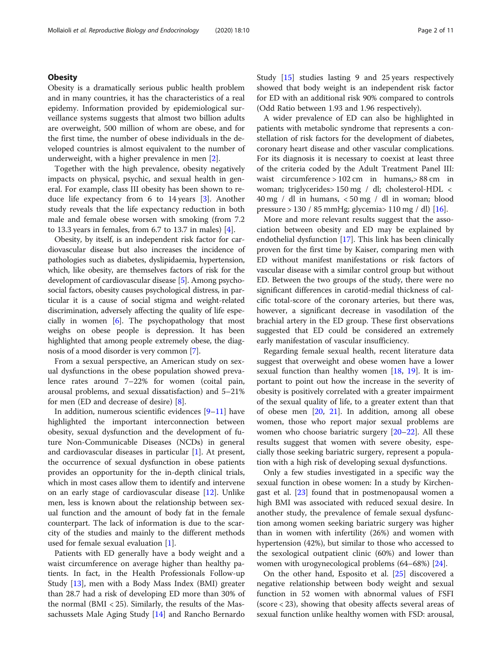### **Obesity**

Obesity is a dramatically serious public health problem and in many countries, it has the characteristics of a real epidemy. Information provided by epidemiological surveillance systems suggests that almost two billion adults are overweight, 500 million of whom are obese, and for the first time, the number of obese individuals in the developed countries is almost equivalent to the number of underweight, with a higher prevalence in men [\[2](#page-7-0)].

Together with the high prevalence, obesity negatively impacts on physical, psychic, and sexual health in general. For example, class III obesity has been shown to reduce life expectancy from 6 to 14 years [[3\]](#page-7-0). Another study reveals that the life expectancy reduction in both male and female obese worsen with smoking (from 7.2 to 13.3 years in females, from 6.7 to 13.7 in males) [\[4](#page-7-0)].

Obesity, by itself, is an independent risk factor for cardiovascular disease but also increases the incidence of pathologies such as diabetes, dyslipidaemia, hypertension, which, like obesity, are themselves factors of risk for the development of cardiovascular disease [\[5](#page-7-0)]. Among psychosocial factors, obesity causes psychological distress, in particular it is a cause of social stigma and weight-related discrimination, adversely affecting the quality of life especially in women [[6](#page-7-0)]. The psychopathology that most weighs on obese people is depression. It has been highlighted that among people extremely obese, the diagnosis of a mood disorder is very common [\[7\]](#page-7-0).

From a sexual perspective, an American study on sexual dysfunctions in the obese population showed prevalence rates around 7–22% for women (coital pain, arousal problems, and sexual dissatisfaction) and 5–21% for men (ED and decrease of desire) [[8\]](#page-7-0).

In addition, numerous scientific evidences [[9](#page-7-0)–[11\]](#page-7-0) have highlighted the important interconnection between obesity, sexual dysfunction and the development of future Non-Communicable Diseases (NCDs) in general and cardiovascular diseases in particular [[1\]](#page-7-0). At present, the occurrence of sexual dysfunction in obese patients provides an opportunity for the in-depth clinical trials, which in most cases allow them to identify and intervene on an early stage of cardiovascular disease [\[12](#page-7-0)]. Unlike men, less is known about the relationship between sexual function and the amount of body fat in the female counterpart. The lack of information is due to the scarcity of the studies and mainly to the different methods used for female sexual evaluation [[1\]](#page-7-0).

Patients with ED generally have a body weight and a waist circumference on average higher than healthy patients. In fact, in the Health Professionals Follow-up Study [[13\]](#page-7-0), men with a Body Mass Index (BMI) greater than 28.7 had a risk of developing ED more than 30% of the normal ( $BMI < 25$ ). Similarly, the results of the Massachussets Male Aging Study [[14\]](#page-7-0) and Rancho Bernardo Study [[15\]](#page-7-0) studies lasting 9 and 25 years respectively showed that body weight is an independent risk factor for ED with an additional risk 90% compared to controls (Odd Ratio between 1.93 and 1.96 respectively).

A wider prevalence of ED can also be highlighted in patients with metabolic syndrome that represents a constellation of risk factors for the development of diabetes, coronary heart disease and other vascular complications. For its diagnosis it is necessary to coexist at least three of the criteria coded by the Adult Treatment Panel III: waist circumference > 102 cm in humans,> 88 cm in woman; triglycerides> 150 mg / dl; cholesterol-HDL < 40 mg / dl in humans, < 50 mg / dl in woman; blood pressure > 130 / 85 mmHg; glycemia> 110 mg / dl) [[16\]](#page-7-0).

More and more relevant results suggest that the association between obesity and ED may be explained by endothelial dysfunction [\[17](#page-7-0)]. This link has been clinically proven for the first time by Kaiser, comparing men with ED without manifest manifestations or risk factors of vascular disease with a similar control group but without ED. Between the two groups of the study, there were no significant differences in carotid-medial thickness of calcific total-score of the coronary arteries, but there was, however, a significant decrease in vasodilation of the brachial artery in the ED group. These first observations suggested that ED could be considered an extremely early manifestation of vascular insufficiency.

Regarding female sexual health, recent literature data suggest that overweight and obese women have a lower sexual function than healthy women [[18,](#page-7-0) [19](#page-7-0)]. It is important to point out how the increase in the severity of obesity is positively correlated with a greater impairment of the sexual quality of life, to a greater extent than that of obese men [\[20](#page-7-0), [21\]](#page-8-0). In addition, among all obese women, those who report major sexual problems are women who choose bariatric surgery [[20](#page-7-0)–[22](#page-8-0)]. All these results suggest that women with severe obesity, especially those seeking bariatric surgery, represent a population with a high risk of developing sexual dysfunctions.

Only a few studies investigated in a specific way the sexual function in obese women: In a study by Kirchengast et al. [[23\]](#page-8-0) found that in postmenopausal women a high BMI was associated with reduced sexual desire. In another study, the prevalence of female sexual dysfunction among women seeking bariatric surgery was higher than in women with infertility (26%) and women with hypertension (42%), but similar to those who accessed to the sexological outpatient clinic (60%) and lower than women with urogynecological problems (64–68%) [\[24\]](#page-8-0).

On the other hand, Esposito et al. [[25\]](#page-8-0) discovered a negative relationship between body weight and sexual function in 52 women with abnormal values of FSFI (score < 23), showing that obesity affects several areas of sexual function unlike healthy women with FSD: arousal,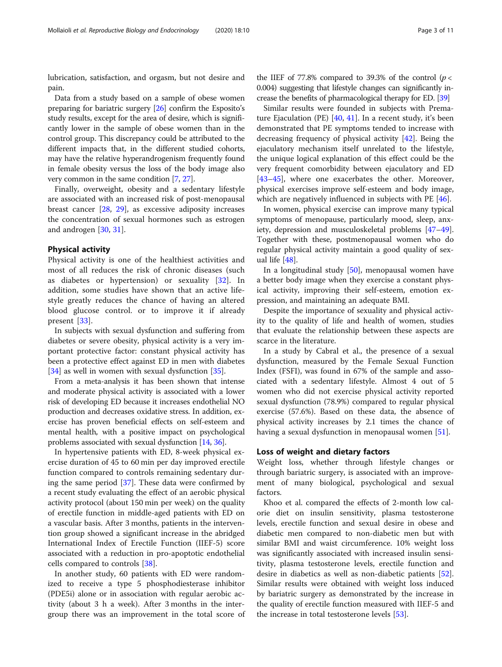lubrication, satisfaction, and orgasm, but not desire and pain.

Data from a study based on a sample of obese women preparing for bariatric surgery [[26\]](#page-8-0) confirm the Esposito's study results, except for the area of desire, which is significantly lower in the sample of obese women than in the control group. This discrepancy could be attributed to the different impacts that, in the different studied cohorts, may have the relative hyperandrogenism frequently found in female obesity versus the loss of the body image also very common in the same condition [\[7,](#page-7-0) [27](#page-8-0)].

Finally, overweight, obesity and a sedentary lifestyle are associated with an increased risk of post-menopausal breast cancer [[28,](#page-8-0) [29](#page-8-0)], as excessive adiposity increases the concentration of sexual hormones such as estrogen and androgen [\[30,](#page-8-0) [31\]](#page-8-0).

### Physical activity

Physical activity is one of the healthiest activities and most of all reduces the risk of chronic diseases (such as diabetes or hypertension) or sexuality [[32\]](#page-8-0). In addition, some studies have shown that an active lifestyle greatly reduces the chance of having an altered blood glucose control. or to improve it if already present [[33\]](#page-8-0).

In subjects with sexual dysfunction and suffering from diabetes or severe obesity, physical activity is a very important protective factor: constant physical activity has been a protective effect against ED in men with diabetes [[34\]](#page-8-0) as well in women with sexual dysfunction [[35\]](#page-8-0).

From a meta-analysis it has been shown that intense and moderate physical activity is associated with a lower risk of developing ED because it increases endothelial NO production and decreases oxidative stress. In addition, exercise has proven beneficial effects on self-esteem and mental health, with a positive impact on psychological problems associated with sexual dysfunction [[14](#page-7-0), [36\]](#page-8-0).

In hypertensive patients with ED, 8-week physical exercise duration of 45 to 60 min per day improved erectile function compared to controls remaining sedentary during the same period [\[37\]](#page-8-0). These data were confirmed by a recent study evaluating the effect of an aerobic physical activity protocol (about 150 min per week) on the quality of erectile function in middle-aged patients with ED on a vascular basis. After 3 months, patients in the intervention group showed a significant increase in the abridged International Index of Erectile Function (IIEF-5) score associated with a reduction in pro-apoptotic endothelial cells compared to controls [\[38](#page-8-0)].

In another study, 60 patients with ED were randomized to receive a type 5 phosphodiesterase inhibitor (PDE5i) alone or in association with regular aerobic activity (about 3 h a week). After 3 months in the intergroup there was an improvement in the total score of

the IIEF of 77.8% compared to 39.3% of the control ( $p <$ 0.004) suggesting that lifestyle changes can significantly increase the benefits of pharmacological therapy for ED. [[39](#page-8-0)]

Similar results were founded in subjects with Premature Ejaculation (PE) [\[40](#page-8-0), [41](#page-8-0)]. In a recent study, it's been demonstrated that PE symptoms tended to increase with decreasing frequency of physical activity [[42\]](#page-8-0). Being the ejaculatory mechanism itself unrelated to the lifestyle, the unique logical explanation of this effect could be the very frequent comorbidity between ejaculatory and ED [[43](#page-8-0)–[45](#page-8-0)], where one exacerbates the other. Moreover, physical exercises improve self-esteem and body image, which are negatively influenced in subjects with PE [[46\]](#page-8-0).

In women, physical exercise can improve many typical symptoms of menopause, particularly mood, sleep, anxiety, depression and musculoskeletal problems [[47](#page-8-0)–[49](#page-8-0)]. Together with these, postmenopausal women who do regular physical activity maintain a good quality of sexual life [\[48](#page-8-0)].

In a longitudinal study [[50\]](#page-8-0), menopausal women have a better body image when they exercise a constant physical activity, improving their self-esteem, emotion expression, and maintaining an adequate BMI.

Despite the importance of sexuality and physical activity to the quality of life and health of women, studies that evaluate the relationship between these aspects are scarce in the literature.

In a study by Cabral et al., the presence of a sexual dysfunction, measured by the Female Sexual Function Index (FSFI), was found in 67% of the sample and associated with a sedentary lifestyle. Almost 4 out of 5 women who did not exercise physical activity reported sexual dysfunction (78.9%) compared to regular physical exercise (57.6%). Based on these data, the absence of physical activity increases by 2.1 times the chance of having a sexual dysfunction in menopausal women [\[51](#page-8-0)].

### Loss of weight and dietary factors

Weight loss, whether through lifestyle changes or through bariatric surgery, is associated with an improvement of many biological, psychological and sexual factors.

Khoo et al. compared the effects of 2-month low calorie diet on insulin sensitivity, plasma testosterone levels, erectile function and sexual desire in obese and diabetic men compared to non-diabetic men but with similar BMI and waist circumference. 10% weight loss was significantly associated with increased insulin sensitivity, plasma testosterone levels, erectile function and desire in diabetics as well as non-diabetic patients [\[52](#page-8-0)]. Similar results were obtained with weight loss induced by bariatric surgery as demonstrated by the increase in the quality of erectile function measured with IIEF-5 and the increase in total testosterone levels [[53](#page-8-0)].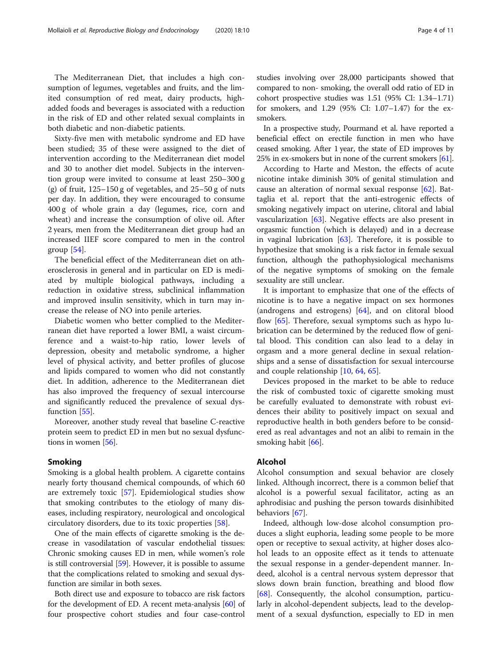The Mediterranean Diet, that includes a high consumption of legumes, vegetables and fruits, and the limited consumption of red meat, dairy products, highadded foods and beverages is associated with a reduction in the risk of ED and other related sexual complaints in both diabetic and non-diabetic patients.

Sixty-five men with metabolic syndrome and ED have been studied; 35 of these were assigned to the diet of intervention according to the Mediterranean diet model and 30 to another diet model. Subjects in the intervention group were invited to consume at least 250–300 g (g) of fruit,  $125-150$  g of vegetables, and  $25-50$  g of nuts per day. In addition, they were encouraged to consume 400 g of whole grain a day (legumes, rice, corn and wheat) and increase the consumption of olive oil. After 2 years, men from the Mediterranean diet group had an increased IIEF score compared to men in the control group [[54\]](#page-8-0).

The beneficial effect of the Mediterranean diet on atherosclerosis in general and in particular on ED is mediated by multiple biological pathways, including a reduction in oxidative stress, subclinical inflammation and improved insulin sensitivity, which in turn may increase the release of NO into penile arteries.

Diabetic women who better complied to the Mediterranean diet have reported a lower BMI, a waist circumference and a waist-to-hip ratio, lower levels of depression, obesity and metabolic syndrome, a higher level of physical activity, and better profiles of glucose and lipids compared to women who did not constantly diet. In addition, adherence to the Mediterranean diet has also improved the frequency of sexual intercourse and significantly reduced the prevalence of sexual dys-function [\[55\]](#page-8-0).

Moreover, another study reveal that baseline C-reactive protein seem to predict ED in men but no sexual dysfunctions in women [[56](#page-8-0)].

### Smoking

Smoking is a global health problem. A cigarette contains nearly forty thousand chemical compounds, of which 60 are extremely toxic [[57\]](#page-8-0). Epidemiological studies show that smoking contributes to the etiology of many diseases, including respiratory, neurological and oncological circulatory disorders, due to its toxic properties [[58](#page-8-0)].

One of the main effects of cigarette smoking is the decrease in vasodilatation of vascular endothelial tissues: Chronic smoking causes ED in men, while women's role is still controversial [\[59\]](#page-8-0). However, it is possible to assume that the complications related to smoking and sexual dysfunction are similar in both sexes.

Both direct use and exposure to tobacco are risk factors for the development of ED. A recent meta-analysis [\[60\]](#page-8-0) of four prospective cohort studies and four case-control studies involving over 28,000 participants showed that compared to non- smoking, the overall odd ratio of ED in cohort prospective studies was 1.51 (95% CI: 1.34–1.71) for smokers, and 1.29 (95% CI: 1.07–1.47) for the exsmokers.

In a prospective study, Pourmand et al. have reported a beneficial effect on erectile function in men who have ceased smoking. After 1 year, the state of ED improves by 25% in ex-smokers but in none of the current smokers [\[61](#page-8-0)].

According to Harte and Meston, the effects of acute nicotine intake diminish 30% of genital stimulation and cause an alteration of normal sexual response [[62\]](#page-8-0). Battaglia et al. report that the anti-estrogenic effects of smoking negatively impact on uterine, clitoral and labial vascularization [\[63](#page-8-0)]. Negative effects are also present in orgasmic function (which is delayed) and in a decrease in vaginal lubrication [\[63](#page-8-0)]. Therefore, it is possible to hypothesize that smoking is a risk factor in female sexual function, although the pathophysiological mechanisms of the negative symptoms of smoking on the female sexuality are still unclear.

It is important to emphasize that one of the effects of nicotine is to have a negative impact on sex hormones (androgens and estrogens) [\[64](#page-8-0)], and on clitoral blood flow [\[65\]](#page-8-0). Therefore, sexual symptoms such as hypo lubrication can be determined by the reduced flow of genital blood. This condition can also lead to a delay in orgasm and a more general decline in sexual relationships and a sense of dissatisfaction for sexual intercourse and couple relationship [[10,](#page-7-0) [64,](#page-8-0) [65\]](#page-8-0).

Devices proposed in the market to be able to reduce the risk of combusted toxic of cigarette smoking must be carefully evaluated to demonstrate with robust evidences their ability to positively impact on sexual and reproductive health in both genders before to be considered as real advantages and not an alibi to remain in the smoking habit [[66\]](#page-8-0).

### Alcohol

Alcohol consumption and sexual behavior are closely linked. Although incorrect, there is a common belief that alcohol is a powerful sexual facilitator, acting as an aphrodisiac and pushing the person towards disinhibited behaviors [[67](#page-9-0)].

Indeed, although low-dose alcohol consumption produces a slight euphoria, leading some people to be more open or receptive to sexual activity, at higher doses alcohol leads to an opposite effect as it tends to attenuate the sexual response in a gender-dependent manner. Indeed, alcohol is a central nervous system depressor that slows down brain function, breathing and blood flow [[68\]](#page-9-0). Consequently, the alcohol consumption, particularly in alcohol-dependent subjects, lead to the development of a sexual dysfunction, especially to ED in men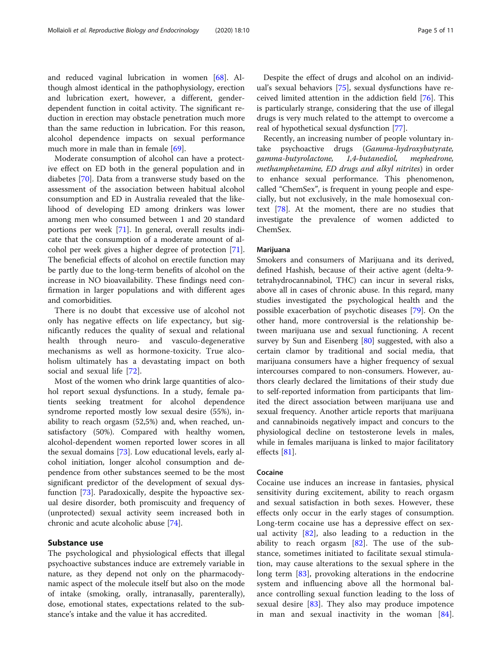and reduced vaginal lubrication in women [\[68\]](#page-9-0). Although almost identical in the pathophysiology, erection and lubrication exert, however, a different, genderdependent function in coital activity. The significant reduction in erection may obstacle penetration much more than the same reduction in lubrication. For this reason, alcohol dependence impacts on sexual performance much more in male than in female [[69](#page-9-0)].

Moderate consumption of alcohol can have a protective effect on ED both in the general population and in diabetes [\[70](#page-9-0)]. Data from a transverse study based on the assessment of the association between habitual alcohol consumption and ED in Australia revealed that the likelihood of developing ED among drinkers was lower among men who consumed between 1 and 20 standard portions per week [[71](#page-9-0)]. In general, overall results indicate that the consumption of a moderate amount of alcohol per week gives a higher degree of protection [\[71](#page-9-0)]. The beneficial effects of alcohol on erectile function may be partly due to the long-term benefits of alcohol on the increase in NO bioavailability. These findings need confirmation in larger populations and with different ages and comorbidities.

There is no doubt that excessive use of alcohol not only has negative effects on life expectancy, but significantly reduces the quality of sexual and relational health through neuro- and vasculo-degenerative mechanisms as well as hormone-toxicity. True alcoholism ultimately has a devastating impact on both social and sexual life [[72\]](#page-9-0).

Most of the women who drink large quantities of alcohol report sexual dysfunctions. In a study, female patients seeking treatment for alcohol dependence syndrome reported mostly low sexual desire (55%), inability to reach orgasm (52,5%) and, when reached, unsatisfactory (50%). Compared with healthy women, alcohol-dependent women reported lower scores in all the sexual domains [[73](#page-9-0)]. Low educational levels, early alcohol initiation, longer alcohol consumption and dependence from other substances seemed to be the most significant predictor of the development of sexual dysfunction [\[73\]](#page-9-0). Paradoxically, despite the hypoactive sexual desire disorder, both promiscuity and frequency of (unprotected) sexual activity seem increased both in chronic and acute alcoholic abuse [[74](#page-9-0)].

### Substance use

The psychological and physiological effects that illegal psychoactive substances induce are extremely variable in nature, as they depend not only on the pharmacodynamic aspect of the molecule itself but also on the mode of intake (smoking, orally, intranasally, parenterally), dose, emotional states, expectations related to the substance's intake and the value it has accredited.

Despite the effect of drugs and alcohol on an individual's sexual behaviors [\[75](#page-9-0)], sexual dysfunctions have received limited attention in the addiction field [[76](#page-9-0)]. This is particularly strange, considering that the use of illegal drugs is very much related to the attempt to overcome a real of hypothetical sexual dysfunction [[77](#page-9-0)].

Recently, an increasing number of people voluntary intake psychoactive drugs (Gamma-hydroxybutyrate, gamma-butyrolactone, 1,4-butanediol, mephedrone, methamphetamine, ED drugs and alkyl nitrites) in order to enhance sexual performance. This phenomenon, called "ChemSex", is frequent in young people and especially, but not exclusively, in the male homosexual context [\[78](#page-9-0)]. At the moment, there are no studies that investigate the prevalence of women addicted to ChemSex.

### Marijuana

Smokers and consumers of Marijuana and its derived, defined Hashish, because of their active agent (delta-9 tetrahydrocannabinol, THC) can incur in several risks, above all in cases of chronic abuse. In this regard, many studies investigated the psychological health and the possible exacerbation of psychotic diseases [[79\]](#page-9-0). On the other hand, more controversial is the relationship between marijuana use and sexual functioning. A recent survey by Sun and Eisenberg [[80](#page-9-0)] suggested, with also a certain clamor by traditional and social media, that marijuana consumers have a higher frequency of sexual intercourses compared to non-consumers. However, authors clearly declared the limitations of their study due to self-reported information from participants that limited the direct association between marijuana use and sexual frequency. Another article reports that marijuana and cannabinoids negatively impact and concurs to the physiological decline on testosterone levels in males, while in females marijuana is linked to major facilitatory effects [[81\]](#page-9-0).

### Cocaine

Cocaine use induces an increase in fantasies, physical sensitivity during excitement, ability to reach orgasm and sexual satisfaction in both sexes. However, these effects only occur in the early stages of consumption. Long-term cocaine use has a depressive effect on sexual activity  $[82]$  $[82]$  $[82]$ , also leading to a reduction in the ability to reach orgasm  $[82]$  $[82]$ . The use of the substance, sometimes initiated to facilitate sexual stimulation, may cause alterations to the sexual sphere in the long term [\[83](#page-9-0)], provoking alterations in the endocrine system and influencing above all the hormonal balance controlling sexual function leading to the loss of sexual desire [[83\]](#page-9-0). They also may produce impotence in man and sexual inactivity in the woman [\[84](#page-9-0)].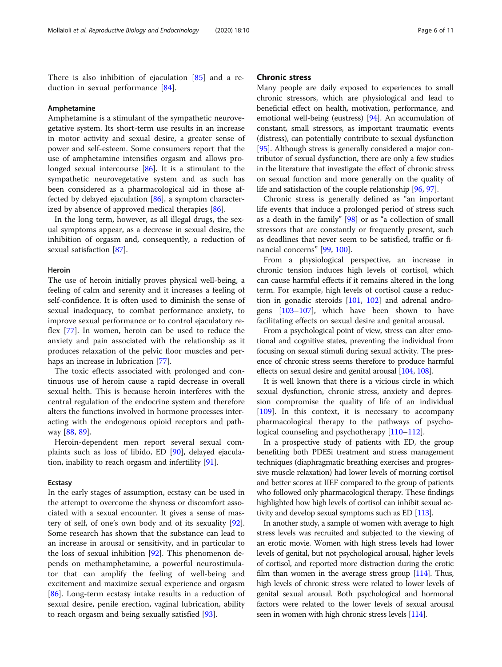There is also inhibition of ejaculation [[85\]](#page-9-0) and a reduction in sexual performance [\[84](#page-9-0)].

### Amphetamine

Amphetamine is a stimulant of the sympathetic neurovegetative system. Its short-term use results in an increase in motor activity and sexual desire, a greater sense of power and self-esteem. Some consumers report that the use of amphetamine intensifies orgasm and allows prolonged sexual intercourse [[86\]](#page-9-0). It is a stimulant to the sympathetic neurovegetative system and as such has been considered as a pharmacological aid in those affected by delayed ejaculation [[86\]](#page-9-0), a symptom characterized by absence of approved medical therapies [[86](#page-9-0)].

In the long term, however, as all illegal drugs, the sexual symptoms appear, as a decrease in sexual desire, the inhibition of orgasm and, consequently, a reduction of sexual satisfaction [[87](#page-9-0)].

### Heroin

The use of heroin initially proves physical well-being, a feeling of calm and serenity and it increases a feeling of self-confidence. It is often used to diminish the sense of sexual inadequacy, to combat performance anxiety, to improve sexual performance or to control ejaculatory reflex [[77\]](#page-9-0). In women, heroin can be used to reduce the anxiety and pain associated with the relationship as it produces relaxation of the pelvic floor muscles and perhaps an increase in lubrication [\[77](#page-9-0)].

The toxic effects associated with prolonged and continuous use of heroin cause a rapid decrease in overall sexual helth. This is because heroin interferes with the central regulation of the endocrine system and therefore alters the functions involved in hormone processes interacting with the endogenous opioid receptors and pathway [\[88](#page-9-0), [89](#page-9-0)].

Heroin-dependent men report several sexual complaints such as loss of libido, ED [[90\]](#page-9-0), delayed ejaculation, inability to reach orgasm and infertility [\[91](#page-9-0)].

### Ecstasy

In the early stages of assumption, ecstasy can be used in the attempt to overcome the shyness or discomfort associated with a sexual encounter. It gives a sense of mastery of self, of one's own body and of its sexuality [\[92](#page-9-0)]. Some research has shown that the substance can lead to an increase in arousal or sensitivity, and in particular to the loss of sexual inhibition [\[92\]](#page-9-0). This phenomenon depends on methamphetamine, a powerful neurostimulator that can amplify the feeling of well-being and excitement and maximize sexual experience and orgasm [[86\]](#page-9-0). Long-term ecstasy intake results in a reduction of sexual desire, penile erection, vaginal lubrication, ability to reach orgasm and being sexually satisfied [[93\]](#page-9-0).

### Chronic stress

Many people are daily exposed to experiences to small chronic stressors, which are physiological and lead to beneficial effect on health, motivation, performance, and emotional well-being (eustress) [\[94\]](#page-9-0). An accumulation of constant, small stressors, as important traumatic events (distress), can potentially contribute to sexual dysfunction [[95](#page-9-0)]. Although stress is generally considered a major contributor of sexual dysfunction, there are only a few studies in the literature that investigate the effect of chronic stress on sexual function and more generally on the quality of life and satisfaction of the couple relationship [[96](#page-9-0), [97\]](#page-9-0).

Chronic stress is generally defined as "an important life events that induce a prolonged period of stress such as a death in the family" [[98\]](#page-9-0) or as "a collection of small stressors that are constantly or frequently present, such as deadlines that never seem to be satisfied, traffic or financial concerns" [\[99,](#page-9-0) [100\]](#page-9-0).

From a physiological perspective, an increase in chronic tension induces high levels of cortisol, which can cause harmful effects if it remains altered in the long term. For example, high levels of cortisol cause a reduction in gonadic steroids [\[101](#page-9-0), [102\]](#page-9-0) and adrenal androgens [\[103](#page-9-0)–[107\]](#page-9-0), which have been shown to have facilitating effects on sexual desire and genital arousal.

From a psychological point of view, stress can alter emotional and cognitive states, preventing the individual from focusing on sexual stimuli during sexual activity. The presence of chronic stress seems therefore to produce harmful effects on sexual desire and genital arousal [\[104](#page-9-0), [108](#page-9-0)].

It is well known that there is a vicious circle in which sexual dysfunction, chronic stress, anxiety and depression compromise the quality of life of an individual [[109\]](#page-9-0). In this context, it is necessary to accompany pharmacological therapy to the pathways of psychological counseling and psychotherapy [\[110](#page-9-0)–[112\]](#page-9-0).

In a prospective study of patients with ED, the group benefiting both PDE5i treatment and stress management techniques (diaphragmatic breathing exercises and progressive muscle relaxation) had lower levels of morning cortisol and better scores at IIEF compared to the group of patients who followed only pharmacological therapy. These findings highlighted how high levels of cortisol can inhibit sexual activity and develop sexual symptoms such as ED [\[113](#page-9-0)].

In another study, a sample of women with average to high stress levels was recruited and subjected to the viewing of an erotic movie. Women with high stress levels had lower levels of genital, but not psychological arousal, higher levels of cortisol, and reported more distraction during the erotic film than women in the average stress group  $[114]$ . Thus, high levels of chronic stress were related to lower levels of genital sexual arousal. Both psychological and hormonal factors were related to the lower levels of sexual arousal seen in women with high chronic stress levels [\[114\]](#page-9-0).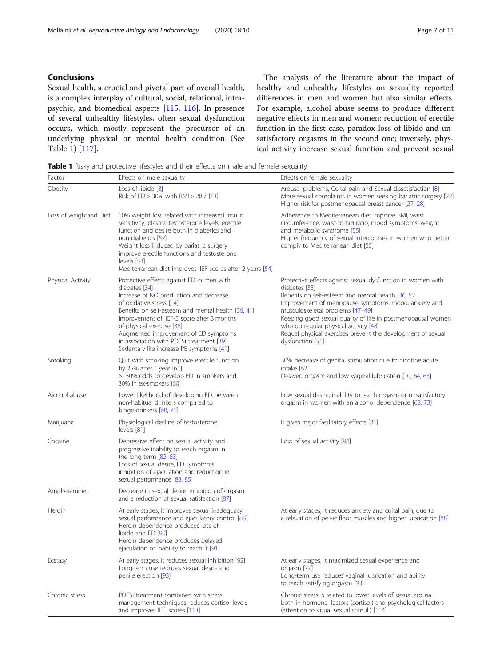### Conclusions

Sexual health, a crucial and pivotal part of overall health, is a complex interplay of cultural, social, relational, intrapsychic, and biomedical aspects [[115,](#page-9-0) [116\]](#page-9-0). In presence of several unhealthy lifestyles, often sexual dysfunction occurs, which mostly represent the precursor of an underlying physical or mental health condition (See Table 1) [[117\]](#page-9-0).

The analysis of the literature about the impact of healthy and unhealthy lifestyles on sexuality reported differences in men and women but also similar effects. For example, alcohol abuse seems to produce different negative effects in men and women: reduction of erectile function in the first case, paradox loss of libido and unsatisfactory orgasms in the second one; inversely, physical activity increase sexual function and prevent sexual

Table 1 Risky and protective lifestyles and their effects on male and female sexuality

| Factor                 | Effects on male sexuality                                                                                                                                                                                                                                                                                                                                                                         | Effects on female sexuality                                                                                                                                                                                                                                                                                                                                                                                               |
|------------------------|---------------------------------------------------------------------------------------------------------------------------------------------------------------------------------------------------------------------------------------------------------------------------------------------------------------------------------------------------------------------------------------------------|---------------------------------------------------------------------------------------------------------------------------------------------------------------------------------------------------------------------------------------------------------------------------------------------------------------------------------------------------------------------------------------------------------------------------|
| Obesity                | Loss of libido [8]<br>Risk of $ED > 30\%$ with $BMI > 28.7$ [13]                                                                                                                                                                                                                                                                                                                                  | Arousal problems, Coital pain and Sexual dissatisfaction [8]<br>More sexual complaints in women seeking bariatric surgery [22]<br>Higher risk for postmenopausal breast cancer [27, 28]                                                                                                                                                                                                                                   |
| Loss of weightand Diet | 10% weight loss related with increased insulin<br>sensitivity, plasma testosterone levels, erectile<br>function and desire both in diabetics and<br>non-diabetics [52]<br>Weight loss induced by bariatric surgery<br>improve erectile functions and testosterone<br>levels [53]<br>Mediterranean diet improves IIEF scores after 2-years [54]                                                    | Adherence to Mediterranean diet improve BMI, waist<br>circumference, waist-to-hip ratio, mood symptoms, weight<br>and metabolic syndrome [55]<br>Higher frequency of sexual intercourses in women who better<br>comply to Mediterranean diet [55]                                                                                                                                                                         |
| Physical Activity      | Protective effects against ED in men with<br>diabetes [34]<br>Increase of NO production and decrease<br>of oxidative stress [14]<br>Benefits on self-esteem and mental health [36, 41]<br>Improvement of IIEF-5 score after 3 months<br>of physical exercise [38]<br>Augmented improvement of ED symptoms<br>in association with PDE5i treatment [39]<br>Sedentary life increase PE symptoms [41] | Protective effects against sexual dysfunction in women with<br>diabetes [35]<br>Benefits on self-esteem and mental health [36, 52]<br>Improvement of menopause symptoms, mood, anxiety and<br>musculoskeletal problems [47-49]<br>Keeping good sexual quality of life in postmenopausal women<br>who do regular physical activity [48]<br>Regual physical exercises prevent the development of sexual<br>dysfunction [51] |
| Smoking                | Quit with smoking improve erectile function<br>by 25% after 1 year $[61]$<br>> 50% odds to develop ED in smokers and<br>30% in ex-smokers [60]                                                                                                                                                                                                                                                    | 30% decrease of genital stimulation due to nicotine acute<br>intake [62]<br>Delayed orgasm and low vaginal lubrication [10, 64, 65]                                                                                                                                                                                                                                                                                       |
| Alcohol abuse          | Lower likelihood of developing ED between<br>non-habitual drinkers compared to<br>binge-drinkers [68, 71]                                                                                                                                                                                                                                                                                         | Low sexual desire, inability to reach orgasm or unsatisfactory<br>orgasm in women with an alcohol dependence [68, 73]                                                                                                                                                                                                                                                                                                     |
| Marijuana              | Physiological decline of testosterone<br>levels [81]                                                                                                                                                                                                                                                                                                                                              | It gives major facilitatory effects [81]                                                                                                                                                                                                                                                                                                                                                                                  |
| Cocaine                | Depressive effect on sexual activity and<br>progressive inability to reach orgasm in<br>the long term [82, 83]<br>Loss of sexual desire, ED symptoms,<br>inhibition of ejaculation and reduction in<br>sexual performance [83, 85]                                                                                                                                                                | Loss of sexual activity [84]                                                                                                                                                                                                                                                                                                                                                                                              |
| Amphetamine            | Decrease in sexual desire, inhibition of orgasm<br>and a reduction of sexual satisfaction [87]                                                                                                                                                                                                                                                                                                    |                                                                                                                                                                                                                                                                                                                                                                                                                           |
| Heroin                 | At early stages, it improves sexual inadequacy,<br>sexual performance and ejaculatory control [88]<br>Heroin dependence produces loss of<br>libido and ED [90]<br>Heroin dependence produces delayed<br>ejaculation or inability to reach it [91]                                                                                                                                                 | At early stages, it reduces anxiety and coital pain, due to<br>a relaxation of pelvic floor muscles and higher lubrication [88]                                                                                                                                                                                                                                                                                           |
| Ecstasy                | At early stages, it reduces sexual inhibition [92]<br>Long-term use reduces sexual desire and<br>penile erection [93]                                                                                                                                                                                                                                                                             | At early stages, it maximized sexual experience and<br>orgasm [77]<br>Long-term use reduces vaginal lubrication and ability<br>to reach satisfying orgasm [93]                                                                                                                                                                                                                                                            |
| Chronic stress         | PDE5i treatment combined with stress<br>management techniques reduces cortisol levels<br>and improves IIEF scores [113]                                                                                                                                                                                                                                                                           | Chronic stress is related to lower levels of sexual arousal<br>both in hormonal factors (cortisol) and psychological factors<br>(attention to visual sexual stimuli) [114]                                                                                                                                                                                                                                                |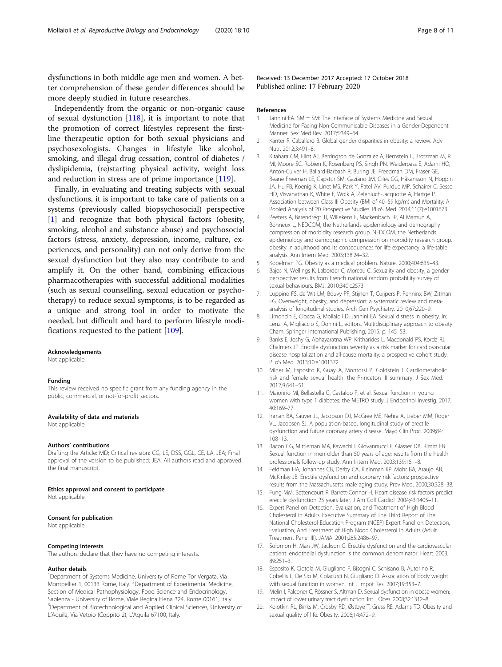<span id="page-7-0"></span>dysfunctions in both middle age men and women. A better comprehension of these gender differences should be more deeply studied in future researches.

Independently from the organic or non-organic cause of sexual dysfunction [\[118\]](#page-10-0), it is important to note that the promotion of correct lifestyles represent the firstline therapeutic option for both sexual physicians and psychosexologists. Changes in lifestyle like alcohol, smoking, and illegal drug cessation, control of diabetes / dyslipidemia, (re)starting physical activity, weight loss and reduction in stress are of prime importance [\[119\]](#page-10-0).

Finally, in evaluating and treating subjects with sexual dysfunctions, it is important to take care of patients on a systems (previously called biopsychosocial) perspective [1] and recognize that both physical factors (obesity, smoking, alcohol and substance abuse) and psychosocial factors (stress, anxiety, depression, income, culture, experiences, and personality) can not only derive from the sexual dysfunction but they also may contribute to and amplify it. On the other hand, combining efficacious pharmacotherapies with successful additional modalities (such as sexual counselling, sexual education or psychotherapy) to reduce sexual symptoms, is to be regarded as a unique and strong tool in order to motivate the needed, but difficult and hard to perform lifestyle modifications requested to the patient [[109\]](#page-9-0).

#### Acknowledgements

Not applicable.

#### Funding

This review received no specific grant from any funding agency in the public, commercial, or not-for-profit sectors.

### Availability of data and materials

Not applicable.

#### Authors' contributions

Drafting the Article: MD; Critical revision: CG, LE, DSS, GGL, CE, LA, JEA; Final approval of the version to be published: JEA. All authors read and approved the final manuscript.

#### Ethics approval and consent to participate

Not applicable.

#### Consent for publication

Not applicable.

#### Competing interests

The authors declare that they have no competing interests.

### Author details

<sup>1</sup>Department of Systems Medicine, University of Rome Tor Vergata, Via Montpellier 1, 00133 Rome, Italy. <sup>2</sup>Department of Experimental Medicine, Section of Medical Pathophysiology, Food Science and Endocrinology, Sapienza - University of Rome, Viale Regina Elena 324, Rome 00161, Italy <sup>3</sup>Department of Biotechnological and Applied Clinical Sciences, University of L'Aquila, Via Vetoio (Coppito 2), L'Aquila 67100, Italy.

Received: 13 December 2017 Accepted: 17 October 2018 Published online: 17 February 2020

#### References

- 1. Jannini EA. SM = SM: The Interface of Systems Medicine and Sexual Medicine for Facing Non-Communicable Diseases in a Gender-Dependent Manner. Sex Med Rev. 2017;5:349–64.
- 2. Kanter R, Caballero B. Global gender disparities in obesity: a review. Adv Nutr. 2012;3:491–8.
- 3. Kitahara CM, Flint AJ, Berrington de Gonzalez A, Bernstein L, Brotzman M, RJ MI, Moore SC, Robien K, Rosenberg PS, Singh PN, Weiderpass E, Adami HO, Anton-Culver H, Ballard-Barbash R, Buring JE, Freedman DM, Fraser GE, Beane Freeman LE, Gapstur SM, Gaziano JM, Giles GG, Håkansson N, Hoppin JA, Hu FB, Koenig K, Linet MS, Park Y, Patel AV, Purdue MP, Schairer C, Sesso HD, Visvanathan K, White E, Wolk A, Zeleniuch-Jacquotte A, Hartge P. Association between Class III Obesity (BMI of 40–59 kg/m) and Mortality: A Pooled Analysis of 20 Prospective Studies. PLoS Med. 2014;11(7):e1001673.
- 4. Peeters A, Barendregt JJ, Willekens F, Mackenbach JP, Al Mamun A, Bonneux L, NEDCOM, the Netherlands epidemiology and demography compression of morbidity research group. NEDCOM, the Netherlands epidemiology and demographic compression on morbidity research group. obesity in adulthood and its consequences for life expectancy: a life-table analysis. Ann Intern Med. 2003;138:24–32.
- 5. Kopelman PG. Obesity as a medical problem. Nature. 2000;404:635–43.
- Bajos N, Wellings K, Laborder C, Moreau C. Sexuality and obesity, a gender perspective: results from French national random probability survey of sexual behaviours. BMJ. 2010;340:c2573.
- 7. Luppino FS, de Wit LM, Bouvy PF, Stijnen T, Cuijpers P, Penninx BW, Zitman FG. Overweight, obesity, and depression: a systematic review and metaanalysis of longitudinal studies. Arch Gen Psychiatry. 2010;67:220–9.
- 8. Limoncin E, Ciocca G, Mollaioli D, Jannini EA. Sexual distress in obesity. In: Lenzi A, Migliaccio S, Donini L, editors. Multidisciplinary approach to obesity. Cham: Springer International Publishing; 2015. p. 145–53.
- 9. Banks E, Joshy G, Abhayaratna WP, Kritharides L, Macdonald PS, Korda RJ, Chalmers JP. Erectile dysfunction severity as a risk marker for cardiovascular disease hospitalization and all-cause mortality: a prospective cohort study. PLoS Med. 2013;10:e1001372.
- 10. Miner M, Esposito K, Guay A, Montorsi P, Goldstein I. Cardiometabolic risk and female sexual health: the Princeton III summary. J Sex Med. 2012;9:641–51.
- 11. Maiorino MI, Bellastella G, Castaldo F, et al. Sexual function in young women with type 1 diabetes: the METRO study. J Endocrinol Investig. 2017; 40:169–77.
- 12. Inman BA, Sauver JL, Jacobson DJ, McGree ME, Nehra A, Lieber MM, Roger VL, Jacobsen SJ. A population-based, longitudinal study of erectile dysfunction and future coronary artery disease. Mayo Clin Proc. 2009;84: 108–13.
- 13. Bacon CG, Mittleman MA, Kawachi I, Giovannucci E, Glasser DB, Rimm EB. Sexual function in men older than 50 years of age: results from the health professionals follow-up study. Ann Intern Med. 2003;139:161–8.
- 14. Feldman HA, Johannes CB, Derby CA, Kleinman KP, Mohr BA, Araujo AB, McKinlay JB. Erectile dysfunction and coronary risk factors: prospective results from the Massachusetts male aging study. Prev Med. 2000;30:328–38.
- 15. Fung MM, Bettencourt R, Barrett-Connor H. Heart disease risk factors predict erectile dysfunction 25 years later. J Am Coll Cardiol. 2004;43:1405–11.
- 16. Expert Panel on Detection, Evaluation, and Treatment of High Blood Cholesterol in Adults. Executive Summary of The Third Report of The National Cholesterol Education Program (NCEP) Expert Panel on Detection, Evaluation, And Treatment of High Blood Cholesterol In Adults (Adult Treatment Panel III). JAMA. 2001;285:2486–97.
- 17. Solomon H, Man JW, Jackson G. Erectile dysfunction and the cardiovascular patient: endothelial dysfunction is the common denominator. Heart. 2003; 89:251–3.
- 18. Esposito K, Ciotola M, Giugliano F, Bisogni C, Schisano B, Autorino R, Cobellis L, De Sio M, Colacurci N, Giugliano D. Association of body weight with sexual function in women. Int J Impot Res. 2007;19:353–7.
- 19. Melin I, Falconer C, Rössner S, Altman D. Sexual dysfunction in obese women: impact of lower urinary tract dysfunction. Int J Obes. 2008;32:1312–8.
- 20. Kolotkin RL, Binks M, Crosby RD, Østbye T, Gress RE, Adams TD. Obesity and sexual quality of life. Obesity. 2006;14:472–9.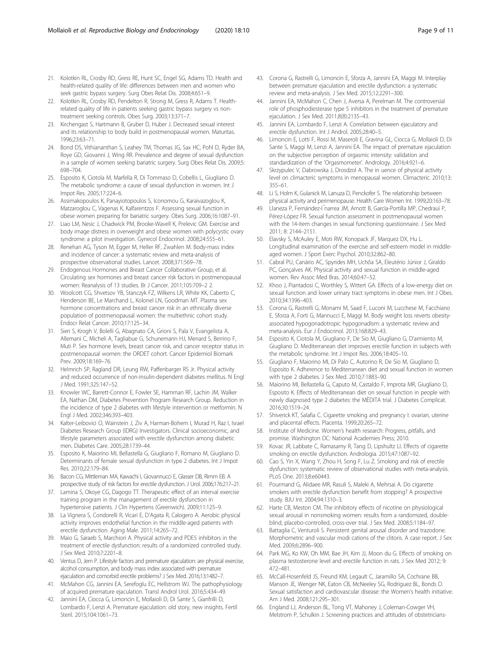- <span id="page-8-0"></span>21. Kolotkin RL, Crosby RD, Gress RE, Hunt SC, Engel SG, Adams TD. Health and health-related quality of life: differences between men and women who seek gastric bypass surgery. Surg Obes Relat Dis. 2008;4:651–9.
- 22. Kolotkin RL, Crosby RD, Pendelton R, Strong M, Gress R, Adams T. Healthrelated quality of life in patients seeking gastric bypass surgery vs nontreatment seeking controls. Obes Surg. 2003;13:371–7.
- 23. Kirchengast S, Hartmann B, Gruber D, Huber J. Decreased sexual interest and its relationship to body build in postmenopausal women. Maturitas. 1996;23:63–71.
- 24. Bond DS, Vithiananthan S, Leahey TM, Thomas JG, Sax HC, Pohl D, Ryder BA, Roye GD, Giovanni J, Wing RR. Prevalence and degree of sexual dysfunction in a sample of women seeking bariatric surgery. Surg Obes Relat Dis. 2009;5: 698–704.
- 25. Esposito K, Ciotola M, Marfella R, Di Tommaso D, Cobellis L, Giugliano D. The metabolic syndrome: a cause of sexual dysfunction in women. Int J Impot Res. 2005;17:224–6.
- 26. Assimakopoulos K, Panayiotopoulos S, Iconomou G, Karaivazoglou K, Matzaroglou C, Vagenas K, Kalfarentzos F. Assessing sexual function in obese women preparing for bariatric surgery. Obes Surg. 2006;16:1087–91.
- 27. Liao LM, Nesic J, Chadwick PM, Brooke-Wavell K, Prelevic GM. Exercise and body image distress in overweight and obese women with polycystic ovary syndrome: a pilot investigation. Gynecol Endocrinol. 2008;24:555–61.
- 28. Renehan AG, Tyson M, Egger M, Heller RF, Zwahlen M. Body-mass index and incidence of cancer: a systematic review and meta-analysis of prospective observational studies. Lancet. 2008;371:569–78.
- 29. Endogenous Hormones and Breast Cancer Collaborative Group, et al. Circulating sex hormones and breast cancer risk factors in postmenopausal women: Reanalysis of 13 studies. Br J Cancer. 2011;105:709–2 2.
- 30. Woolcott CG, Shvetsov YB, Stanczyk FZ, Wilkens LR, White KK, Caberto C, Henderson BE, Le Marchand L, Kolonel LN, Goodman MT. Plasma sex hormone concentrations and breast cancer risk in an ethnically diverse population of postmenopausal women: the multiethnic cohort study. Endocr Relat Cancer. 2010;17:125–34.
- 31. Sieri S, Krogh V, Bolelli G, Abagnato CA, Grioni S, Pala V, Evangelista A, Allemani C, Micheli A, Tagliabue G, Schunemann HJ, Menard S, Berrino F, Muti P. Sex hormone levels, breast cancer risk, and cancer receptor status in postmenopausal women: the ORDET cohort. Cancer Epidemiol Biomark Prev. 2009;18:169–76.
- 32. Helmrich SP, Ragland DR, Leung RW, Paffenbarger RS Jr. Physical activity and reduced occurrence of non-insulin-dependent diabetes mellitus. N Engl J Med. 1991;325:147–52.
- 33. Knowler WC, Barrett-Connor E, Fowler SE, Hamman RF, Lachin JM, Walker EA, Nathan DM, Diabetes Prevention Program Research Group. Reduction in the incidence of type 2 diabetes with lifestyle intervention or metformin. N Engl J Med. 2002;346:393–403.
- 34. Kalter-Leibovici O, Wainstein J, Ziv A, Harman-Bohem I, Murad H, Raz I, Israel Diabetes Research Group (IDRG) Investigators. Clinical socioeconomic, and lifestyle parameters associated with erectile dysfunction among diabetic men. Diabetes Care. 2005;28:1739–44.
- 35. Esposito K, Maiorino MI, Bellastella G, Giugliano F, Romano M, Giugliano D. Determinants of female sexual dysfunction in type 2 diabetes. Int J Impot Res. 2010;22:179–84.
- 36. Bacon CG, Mittleman MA, Kawachi I, Giovannucci E, Glasser DB, Rimm EB. A prospective study of risk factors for erectile dysfunction. J Urol. 2006;176:217–21.
- 37. Lamina S, Okoye CG, Dagogo TT. Therapeutic effect of an interval exercise training program in the management of erectile dysfunction in hypertensive patients. J Clin Hypertens (Greenwich). 2009;11:125–9.
- 38. La Vignera S, Condorelli R, Vicari E, D'Agata R, Calogero A. Aerobic physical activity improves endothelial function in the middle-aged patients with erectile dysfunction. Aging Male. 2011;14:265–72.
- 39. Maio G, Saraeb S, Marchiori A. Physical activity and PDE5 inhibitors in the treatment of erectile dysfunction: results of a randomized controlled study. J Sex Med. 2010;7:2201–8.
- 40. Ventus D, Jern P. Lifestyle factors and premature ejaculation: are physical exercise, alcohol consumption, and body mass index associated with premature ejaculation and comorbid erectile problems? J Sex Med. 2016;13:1482-7.
- 41. McMahon CG, Jannini EA, Serefoglu EC, Hellstrom WJ. The pathophysiology of acquired premature ejaculation. Transl Androl Urol. 2016;5:434–49.
- 42. Jannini EA, Ciocca G, Limoncin E, Mollaioli D, Di Sante S, Gianfrilli D, Lombardo F, Lenzi A. Premature ejaculation: old story, new insights. Fertil Steril. 2015;104:1061–73.
- 43. Corona G, Rastrelli G, Limoncin E, Sforza A, Jannini EA, Maggi M. Interplay between premature ejaculation and erectile dysfunction: a systematic review and meta-analysis. J Sex Med. 2015;12:2291–300.
- 44. Jannini EA, McMahon C, Chen J, Aversa A, Perelman M. The controversial role of phosphodiesterase type 5 inhibitors in the treatment of premature ejaculation. J Sex Med. 2011;8(8):2135–43.
- 45. Jannini EA, Lombardo F, Lenzi A. Correlation between ejaculatory and erectile dysfunction. Int J Androl. 2005;28:40–5.
- 46. Limoncin E, Lotti F, Rossi M, Maseroli E, Gravina GL, Ciocca G, Mollaioli D, Di Sante S, Maggi M, Lenzi A, Jannini EA. The impact of premature ejaculation on the subjective perception of orgasmic intensity: validation and standardization of the 'Orgasmometer'. Andrology. 2016;4:921–6.
- 47. Skrzypulec V, Dabrowska J, Drosdzol A. The in uence of physical activity level on climacteric symptoms in menopausal women. Climacteric. 2010;13: 355–61.
- 48. Li S, Holm K, Gulanick M, Lanuza D, Penckofer S. The relationship between physical activity and perimenopause. Health Care Women Int. 1999;20:163–78.
- 49. Llaneza P, Fernández-Ĩnarrea JM, Arnott B, García-Portilla MP, Chedraui P, Pérez-López FR. Sexual function assessment in postmenopausal women with the 14-item changes in sexual functioning questionnaire. J Sex Med 2011; 8: 2144–2151.
- 50. Elavsky S, McAuley E, Moti RW, Konopack JF, Marquez DX, Hu L. Longitudinal examination of the exercise and self-esteem model in middleaged women. J Sport Exerc Psychol. 2010;32:862–80.
- 51. Cabral PU, Canário AC, Spyrides MH, Uchôa SA, Eleutério Júnior J, Giraldo PC, Gonçalves AK. Physical activity and sexual function in middle-aged women. Rev Assoc Med Bras. 2014;60:47–52.
- 52. Khoo J, Piantadosi C, Worthley S, Wittert GA. Effects of a low-energy diet on sexual function and lower urinary tract symptoms in obese men. Int J Obes. 2010;34:1396–403.
- 53. Corona G, Rastrelli G, Monami M, Saad F, Luconi M, Lucchese M, Facchiano E, Sforza A, Forti G, Mannucci E, Maggi M. Body weight loss reverts obesityassociated hypogonadotropic hypogonadism: a systematic review and meta-analysis. Eur J Endocrinol. 2013;168:829–43.
- 54. Esposito K, Ciotola M, Giugliano F, De Sio M, Giugliano G, D'armiento M, Giugliano D. Mediterranean diet improves erectile function in subjects with the metabolic syndrome. Int J Impot Res. 2006;18:405–10.
- 55. Giugliano F, Maiorino MI, Di Palo C, Autorino R, De Sio M, Giugliano D, Esposito K. Adherence to Mediterranean diet and sexual function in women with type 2 diabetes. J Sex Med. 2010;7:1883–90.
- 56. Maiorino MI, Bellastella G, Caputo M, Castaldo F, Improta MR, Giugliano D, Esposito K. Effects of Mediterranean diet on sexual function in people with newly diagnosed type 2 diabetes: the MÈDITA trial. J Diabetes Complicat. 2016;30:1519–24.
- 57. Shiverick KT, Salafia C. Cigarette smoking and pregnancy I: ovarian, uterine and placental effects. Placenta. 1999;20:265–72.
- Institute of Medicine. Women's health research: Progress, pitfalls, and promise. Washington DC: National Academies Press; 2010.
- 59. Kovac JR, Labbate C, Ramasamy R, Tang D, Lipshultz LI. Effects of cigarette smoking on erectile dysfunction. Andrologia. 2015;47:1087–92.
- 60. Cao S, Yin X, Wang Y, Zhou H, Song F, Lu Z. Smoking and risk of erectile dysfunction: systematic review of observational studies with meta-analysis. PLoS One. 2013;8:e60443.
- 61. Pourmand G, Alidaee MR, Rasuli S, Maleki A, Mehrsai A. Do cigarette smokers with erectile dysfunction benefit from stopping? A prospective study. BJU Int. 2004;94:1310–3.
- 62. Harte CB, Meston CM. The inhibitory effects of nicotine on physiological sexual arousal in nonsmoking women: results from a randomized, doubleblind, placebo-controlled, cross-over trial. J Sex Med. 2008;5:1184–97.
- 63. Battaglia C, Venturoli S. Persistent genital arousal disorder and trazodone. Morphometric and vascular modi cations of the clitoris. A case report. J Sex Med. 2009;6:2896–900.
- 64. Park MG, Ko KW, Oh MM, Bae JH, Kim JJ, Moon du G. Effects of smoking on plasma testosterone level and erectile function in rats. J Sex Med 2012; 9: 472–481.
- 65. McCall-Hosenfeld JS, Freund KM, Legault C, Jaramillo SA, Cochrane BB, Manson JE, Wenger NK, Eaton CB, McNeeley SG, Rodriguez BL, Bonds D. Sexual satisfaction and cardiovascular disease: the Women's health initiative. Am J Med. 2008;121:295–301.
- 66. England LJ, Anderson BL, Tong VT, Mahoney J, Coleman-Cowger VH, Melstrom P, Schulkin J. Screening practices and attitudes of obstetricians-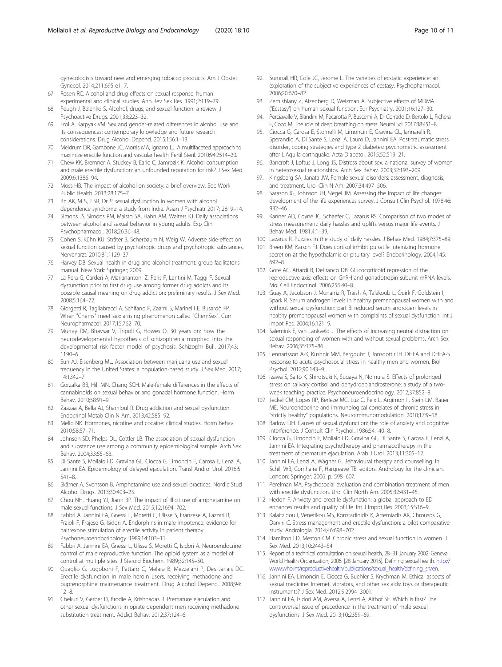<span id="page-9-0"></span>gynecologists toward new and emerging tobacco products. Am J Obstet Gynecol. 2014;211:695 e1–7.

- 67. Rosen RC. Alcohol and drug effects on sexual response: human experimental and clinical studies. Ann Rev Sex Res. 1991;2:119–79.
- 68. Peugh J, Belenko S. Alcohol, drugs, and sexual function: a review. J Psychoactive Drugs. 2001;33:223–32.
- 69. Erol A, Karpyak VM. Sex and gender-related differences in alcohol use and its consequences: contemporary knowledge and future research considerations. Drug Alcohol Depend. 2015;156:1–13.
- 70. Meldrum DR, Gambone JC, Morris MA, Ignarro LJ. A multifaceted approach to maximize erectile function and vascular health. Fertil Steril. 2010;94:2514–20.
- 71. Chew KK, Bremner A, Stuckey B, Earle C, Jamrozik K. Alcohol consumption and male erectile dysfunction: an unfounded reputation for risk? J Sex Med. 2009;6:1386–94.
- 72. Moss HB. The impact of alcohol on society: a brief overview. Soc Work Public Health. 2013;28:175–7.
- 73. Bn AK, M S, J SR, Dr P. sexual dysfunction in women with alcohol dependence syndrome: a study from India. Asian J Psychiatr 2017; 28: 9–14.
- 74. Simons JS, Simons RM, Maisto SA, Hahn AM, Walters KJ. Daily associations between alcohol and sexual behavior in young adults. Exp Clin Psychopharmacol. 2018;26:36–48.
- 75. Cohen S, Kühn KU, Sträter B, Scherbaum N, Weig W. Adverse side-effect on sexual function caused by psychotropic drugs and psychotropic substances. Nervenarzt. 2010;81:1129–37.
- 76. Harvey DB. Sexual health in drug and alcohol treatment: group facilitator's manual. New York: Springer; 2009.
- 77. La Pera G, Carderi A, Marianantoni Z, Peris F, Lentini M, Taggi F. Sexual dysfunction prior to first drug use among former drug addicts and its possible causal meaning on drug addiction: preliminary results. J Sex Med. 2008;5:164–72.
- 78. Giorgetti R, Tagliabracci A, Schifano F, Zaami S, Marinelli E, Busardò FP. When "Chems" meet sex: a rising phenomenon called "ChemSex". Curr Neuropharmacol. 2017;15:762–70.
- 79. Murray RM, Bhavsar V, Tripoli G, Howes O. 30 years on: how the neurodevelopmental hypothesis of schizophrenia morphed into the developmental risk factor model of psychosis. Schizophr Bull. 2017;43: 1190–6.
- 80. Sun AJ, Eisenberg ML. Association between marijuana use and sexual frequency in the United States: a population-based study. J Sex Med. 2017; 14:1342–7.
- 81. Gorzalka BB, Hill MN, Chang SCH. Male-female differences in the effects of cannabinoids on sexual behavior and gonadal hormone function. Horm Behav. 2010;58:91–9.
- 82. Zaazaa A, Bella AJ, Shamloul R. Drug addiction and sexual dysfunction. Endocrinol Metab Clin N Am. 2013;42:585–92.
- 83. Mello NK. Hormones, nicotine and cocaine: clinical studies. Horm Behav. 2010;58:57–71.
- 84. Johnson SD, Phelps DL, Cottler LB. The association of sexual dysfunction and substance use among a community epidemiological sample. Arch Sex Behav. 2004;33:55–63.
- 85. Di Sante S, Mollaioli D, Gravina GL, Ciocca G, Limoncin E, Carosa E, Lenzi A, Jannini EA. Epidemiology of delayed ejaculation. Transl Androl Urol. 2016;5: 541–8.
- 86. Skårner A, Svensson B. Amphetamine use and sexual practices. Nordic Stud Alcohol Drugs. 2013;30:403–23.
- 87. Chou NH, Huang YJ, Jiann BP. The impact of illicit use of amphetamine on male sexual functions. J Sex Med. 2015;12:1694–702.
- 88. Fabbri A, Jannini EA, Gnessi L, Moretti C, Ulisse S, Franzese A, Lazzari R, Fraioli F, Frajese G, Isidori A. Endorphins in male impotence: evidence for naltrexone stimulation of erectile activity in patient therapy. Psychoneuroendocrinology. 1989;14:103–11.
- 89. Fabbri A, Jannini EA, Gnessi L, Ulisse S, Moretti C, Isidori A. Neuroendocrine control of male reproductive function. The opioid system as a model of control at multiple sites. J Steroid Biochem. 1989;32:145–50.
- Quaglio G, Lugoboni F, Pattaro C, Melara B, Mezzelani P, Des Jarlais DC. Erectile dysfunction in male heroin users, receiving methadone and buprenorphine maintenance treatment. Drug Alcohol Depend. 2008;94:  $12 - 8$
- 91. Chekuri V, Gerber D, Brodie A, Krishnadas R. Premature ejaculation and other sexual dysfunctions in opiate dependent men receiving methadone substitution treatment. Addict Behav. 2012;37:124–6.
- 92. Sumnall HR, Cole JC, Jerome L. The varieties of ecstatic experience: an exploration of the subjective experiences of ecstasy. Psychopharmacol. 2006;20:670–82.
- 93. Zemishlany Z, Aizenberg D, Weizman A. Subjective effects of MDMA ('Ecstasy') on human sexual function. Eur Psychiatry. 2001;16:127–30.
- 94. Perciavalle V, Blandini M, Fecarotta P, Buscemi A, Di Corrado D, Bertolo L, Fichera F, Coco M. The role of deep breathing on stress. Neurol Sci. 2017;38:451–8.
- 95. Ciocca G, Carosa E, Stornelli M, Limoncin E, Gravina GL, Iannarelli R, Sperandio A, Di Sante S, Lenzi A, Lauro D, Jannini EA. Post-traumatic stress disorder, coping strategies and type 2 diabetes: psychometric assessment after L'Aquila earthquake. Acta Diabetol. 2015;52:513–21.
- 96. Bancroft J, Loftus J, Long JS. Distress about sex: a national survey of women in heterosexual relationships. Arch Sex Behav. 2003;32:193–209.
- 97. Kingsberg SA, Janata JW. Female sexual disorders: assessment, diagnosis, and treatment. Urol Clin N Am. 2007;34:497–506.
- Sarason IG, Johnson JH, Siegel JM. Assessing the impact of life changes: development of the life experiences survey. J Consult Clin Psychol. 1978;46: 932–46.
- 99. Kanner AD, Coyne JC, Schaefer C, Lazarus RS. Comparison of two modes of stress measurement: daily hassles and uplifts versus major life events. J Behav Med. 1981;4:1–39.
- 100. Lazarus R. Puzzles in the study of daily hassles. J Behav Med. 1984;7:375–89.
- 101. Breen KM, Karsch FJ. Does cortisol inhibit pulsatile luteinizing hormone secretion at the hypothalamic or pituitary level? Endocrinology. 2004;145: 692–8.
- 102. Gore AC, Attardi B, DeFranco DB. Glucocorticoid repression of the reproductive axis: effects on GnRH and gonadotropin subunit mRNA levels. Mol Cell Endocrinol. 2006;256:40–8.
- 103. Guay A, Jacobson J, Munarriz R, Traish A, Talakoub L, Quirk F, Goldstein I, Spark R. Serum androgen levels in healthy premenopausal women with and without sexual dysfunction: part B: reduced serum androgen levels in healthy premenopausal women with complaints of sexual dysfunction. Int J Impot Res. 2004;16:121–9.
- 104. Salemink E, van Lankveld J. The effects of increasing neutral distraction on sexual responding of women with and without sexual problems. Arch Sex Behav. 2006;35:175–86.
- 105. Lennartsson A-K, Kushnir MM, Bergquist J, Jonsdottir IH. DHEA and DHEA-S response to acute psychosocial stress in healthy men and women. Biol Psychol. 2012;90:143–9.
- 106. Izawa S, Saito K, Shirotsuki K, Sugaya N, Nomura S. Effects of prolonged stress on salivary cortisol and dehydroepiandrosterone: a study of a twoweek teaching practice. Psychoneuroendocrinology. 2012;37:852–8.
- 107. Jeckel CM, Lopes RP, Berleze MC, Luz C, Feix L, Argimon II, Stein LM, Bauer ME. Neuroendocrine and immunological correlates of chronic stress in "strictly healthy" populations. Neuroimmunomodulation. 2010;17:9–18.
- 108. Barlow DH. Causes of sexual dysfunction: the role of anxiety and cognitive interference. J Consult Clin Psychol. 1986;54:140–8.
- 109. Ciocca G, Limoncin E, Mollaioli D, Gravina GL, Di Sante S, Carosa E, Lenzi A, Jannini EA. Integrating psychotherapy and pharmacotherapy in the treatment of premature ejaculation. Arab J Urol. 2013;11:305–12.
- 110. Jannini EA, Lenzi A, Wagner G. Behavioural therapy and counselling. In: Schill WB, Comhaire F, Hargreave TB, editors. Andrology for the clinician. London: Springer; 2006. p. 598–607.
- 111. Perelman MA. Psychosocial evaluation and combination treatment of men with erectile dysfunction. Urol Clin North Am. 2005;32:431–45.
- 112. Hedon F. Anxiety and erectile dysfunction: a global approach to ED enhances results and quality of life. Int J Impot Res. 2003;15:S16–9.
- 113. Kalaitzidou I, Venetikou MS, Konstadinidis K, Artemiadis AK, Chrousos G, Darviri C. Stress management and erectile dysfunction: a pilot comparative study. Andrologia. 2014;46:698–702.
- 114. Hamilton LD, Meston CM. Chronic stress and sexual function in women. J Sex Med. 2013;10:2443–54.
- 115. Report of a technical consultation on sexual health, 28–31 January 2002. Geneva: World Health Organization; 2006. [28 January 2015]. Defining sexual health. [http://](http://www.who.int/reproductivehealth/publications/sexual_health/defining_sh/en) [www.who.int/reproductivehealth/publications/sexual\\_health/defining\\_sh/en.](http://www.who.int/reproductivehealth/publications/sexual_health/defining_sh/en)
- 116. Jannini EA, Limoncin E, Ciocca G, Buehler S, Krychman M. Ethical aspects of sexual medicine. Internet, vibrators, and other sex aids: toys or therapeutic instruments? J Sex Med. 2012;9:2994–3001.
- 117. Jannini EA, Isidori AM, Aversa A, Lenzi A, Althof SE. Which is first? The controversial issue of precedence in the treatment of male sexual dysfunctions. J Sex Med. 2013;10:2359–69.